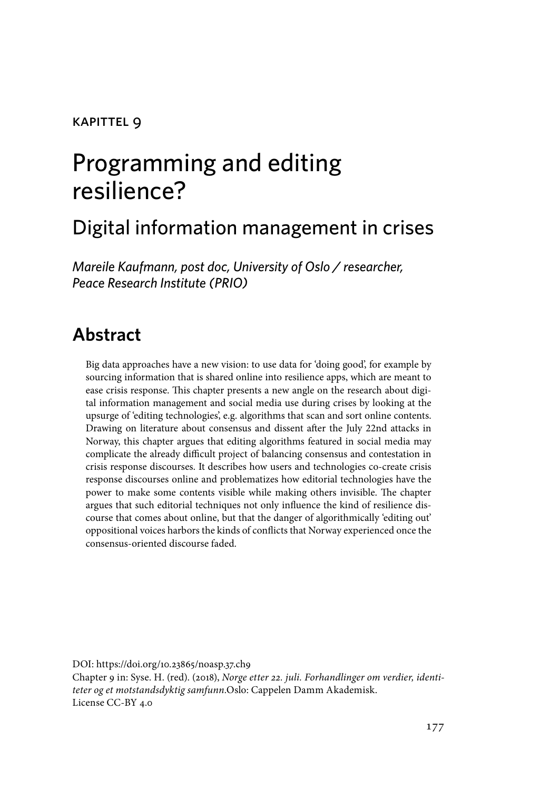#### kapittel 9

# Programming and editing resilience?

## Digital information management in crises

*Mareile Kaufmann, post doc, University of Oslo / researcher, Peace Research Institute (PRIO)*

### **Abstract**

Big data approaches have a new vision: to use data for 'doing good', for example by sourcing information that is shared online into resilience apps, which are meant to ease crisis response. This chapter presents a new angle on the research about digital information management and social media use during crises by looking at the upsurge of 'editing technologies', e.g. algorithms that scan and sort online contents. Drawing on literature about consensus and dissent after the July 22nd attacks in Norway, this chapter argues that editing algorithms featured in social media may complicate the already difficult project of balancing consensus and contestation in crisis response discourses. It describes how users and technologies co-create crisis response discourses online and problematizes how editorial technologies have the power to make some contents visible while making others invisible. The chapter argues that such editorial techniques not only influence the kind of resilience discourse that comes about online, but that the danger of algorithmically 'editing out' oppositional voices harbors the kinds of conflicts that Norway experienced once the consensus-oriented discourse faded.

DOI: https://doi.org/10.23865/noasp.37.ch9 Chapter 9 in: Syse. H. (red). (2018), *Norge etter 22. juli. Forhandlinger om verdier, identiteter og et motstandsdyktig samfunn.*Oslo: Cappelen Damm Akademisk. License CC-BY 4.0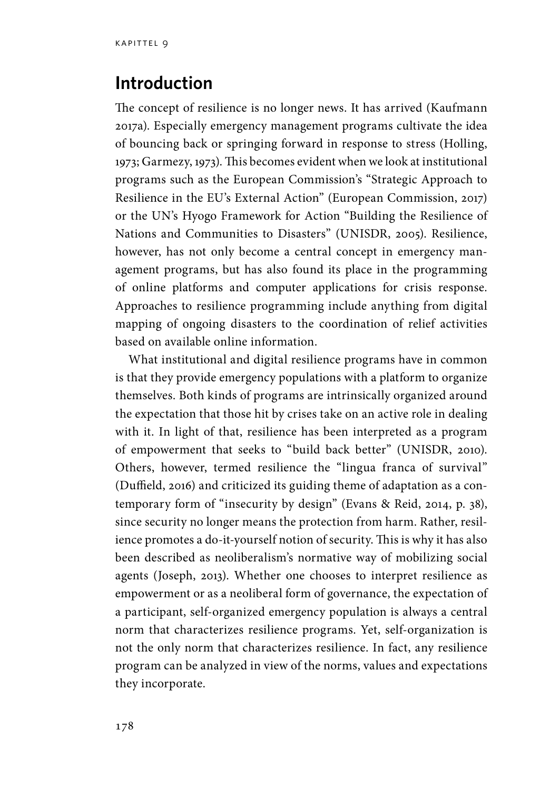#### **Introduction**

The concept of resilience is no longer news. It has arrived (Kaufmann 2017a). Especially emergency management programs cultivate the idea of bouncing back or springing forward in response to stress (Holling, 1973; Garmezy, 1973). This becomes evident when we look at institutional programs such as the European Commission's "Strategic Approach to Resilience in the EU's External Action" (European Commission, 2017) or the UN's Hyogo Framework for Action "Building the Resilience of Nations and Communities to Disasters" (UNISDR, 2005). Resilience, however, has not only become a central concept in emergency management programs, but has also found its place in the programming of online platforms and computer applications for crisis response. Approaches to resilience programming include anything from digital mapping of ongoing disasters to the coordination of relief activities based on available online information.

What institutional and digital resilience programs have in common is that they provide emergency populations with a platform to organize themselves. Both kinds of programs are intrinsically organized around the expectation that those hit by crises take on an active role in dealing with it. In light of that, resilience has been interpreted as a program of empowerment that seeks to "build back better" (UNISDR, 2010). Others, however, termed resilience the "lingua franca of survival" (Duffield, 2016) and criticized its guiding theme of adaptation as a contemporary form of "insecurity by design" (Evans & Reid, 2014, p. 38), since security no longer means the protection from harm. Rather, resilience promotes a do-it-yourself notion of security. This is why it has also been described as neoliberalism's normative way of mobilizing social agents (Joseph, 2013). Whether one chooses to interpret resilience as empowerment or as a neoliberal form of governance, the expectation of a participant, self-organized emergency population is always a central norm that characterizes resilience programs. Yet, self-organization is not the only norm that characterizes resilience. In fact, any resilience program can be analyzed in view of the norms, values and expectations they incorporate.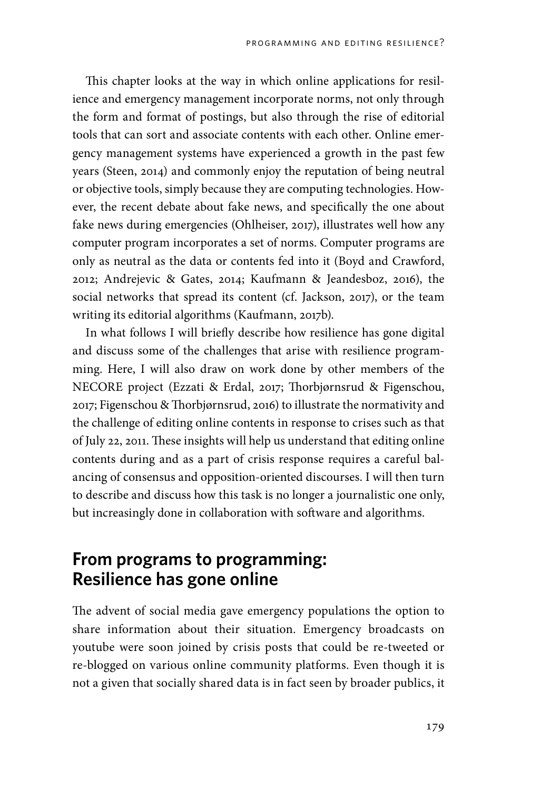This chapter looks at the way in which online applications for resilience and emergency management incorporate norms, not only through the form and format of postings, but also through the rise of editorial tools that can sort and associate contents with each other. Online emergency management systems have experienced a growth in the past few years (Steen, 2014) and commonly enjoy the reputation of being neutral or objective tools, simply because they are computing technologies. However, the recent debate about fake news, and specifically the one about fake news during emergencies (Ohlheiser, 2017), illustrates well how any computer program incorporates a set of norms. Computer programs are only as neutral as the data or contents fed into it (Boyd and Crawford, 2012; Andrejevic & Gates, 2014; Kaufmann & Jeandesboz, 2016), the social networks that spread its content (cf. Jackson, 2017), or the team writing its editorial algorithms (Kaufmann, 2017b).

In what follows I will briefly describe how resilience has gone digital and discuss some of the challenges that arise with resilience programming. Here, I will also draw on work done by other members of the NECORE project (Ezzati & Erdal, 2017; Thorbjørnsrud & Figenschou, 2017; Figenschou & Thorbjørnsrud, 2016) to illustrate the normativity and the challenge of editing online contents in response to crises such as that of July 22, 2011. These insights will help us understand that editing online contents during and as a part of crisis response requires a careful balancing of consensus and opposition-oriented discourses. I will then turn to describe and discuss how this task is no longer a journalistic one only, but increasingly done in collaboration with software and algorithms.

#### **From programs to programming: Resilience has gone online**

The advent of social media gave emergency populations the option to share information about their situation. Emergency broadcasts on youtube were soon joined by crisis posts that could be re-tweeted or re-blogged on various online community platforms. Even though it is not a given that socially shared data is in fact seen by broader publics, it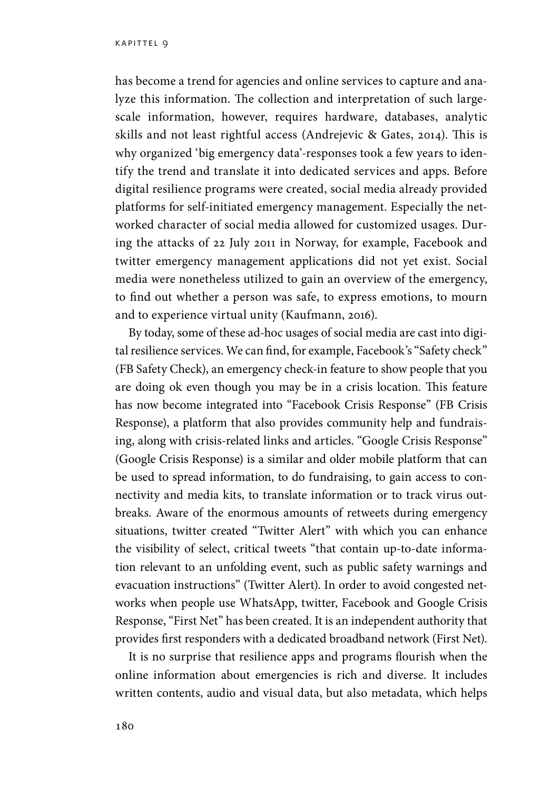has become a trend for agencies and online services to capture and analyze this information. The collection and interpretation of such largescale information, however, requires hardware, databases, analytic skills and not least rightful access (Andrejevic & Gates, 2014). This is why organized 'big emergency data'-responses took a few years to identify the trend and translate it into dedicated services and apps. Before digital resilience programs were created, social media already provided platforms for self-initiated emergency management. Especially the networked character of social media allowed for customized usages. During the attacks of 22 July 2011 in Norway, for example, Facebook and twitter emergency management applications did not yet exist. Social media were nonetheless utilized to gain an overview of the emergency, to find out whether a person was safe, to express emotions, to mourn and to experience virtual unity (Kaufmann, 2016).

By today, some of these ad-hoc usages of social media are cast into digital resilience services. We can find, for example, Facebook's "Safety check" (FB Safety Check), an emergency check-in feature to show people that you are doing ok even though you may be in a crisis location. This feature has now become integrated into "Facebook Crisis Response" (FB Crisis Response), a platform that also provides community help and fundraising, along with crisis-related links and articles. "Google Crisis Response" (Google Crisis Response) is a similar and older mobile platform that can be used to spread information, to do fundraising, to gain access to connectivity and media kits, to translate information or to track virus outbreaks. Aware of the enormous amounts of retweets during emergency situations, twitter created "Twitter Alert" with which you can enhance the visibility of select, critical tweets "that contain up-to-date information relevant to an unfolding event, such as public safety warnings and evacuation instructions" (Twitter Alert). In order to avoid congested networks when people use WhatsApp, twitter, Facebook and Google Crisis Response, "First Net" has been created. It is an independent authority that provides first responders with a dedicated broadband network (First Net).

It is no surprise that resilience apps and programs flourish when the online information about emergencies is rich and diverse. It includes written contents, audio and visual data, but also metadata, which helps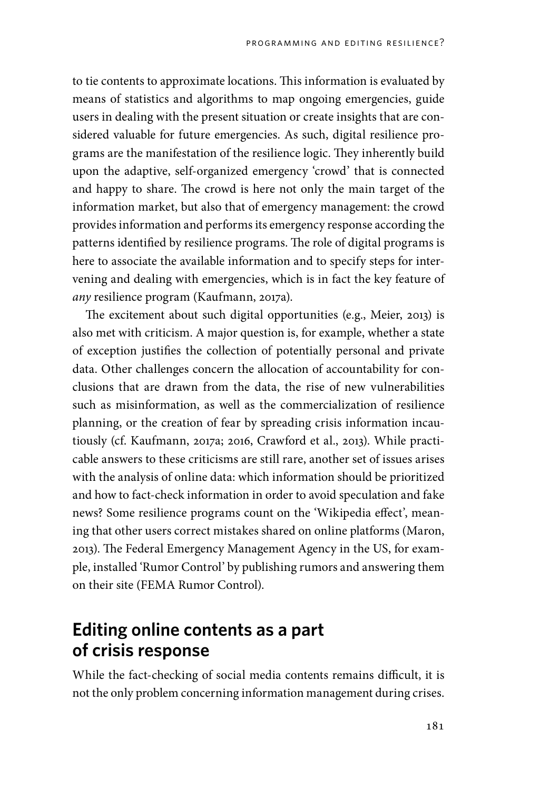to tie contents to approximate locations. This information is evaluated by means of statistics and algorithms to map ongoing emergencies, guide users in dealing with the present situation or create insights that are considered valuable for future emergencies. As such, digital resilience programs are the manifestation of the resilience logic. They inherently build upon the adaptive, self-organized emergency 'crowd' that is connected and happy to share. The crowd is here not only the main target of the information market, but also that of emergency management: the crowd provides information and performs its emergency response according the patterns identified by resilience programs. The role of digital programs is here to associate the available information and to specify steps for intervening and dealing with emergencies, which is in fact the key feature of *any* resilience program (Kaufmann, 2017a).

The excitement about such digital opportunities (e.g., Meier, 2013) is also met with criticism. A major question is, for example, whether a state of exception justifies the collection of potentially personal and private data. Other challenges concern the allocation of accountability for conclusions that are drawn from the data, the rise of new vulnerabilities such as misinformation, as well as the commercialization of resilience planning, or the creation of fear by spreading crisis information incautiously (cf. Kaufmann, 2017a; 2016, Crawford et al., 2013). While practicable answers to these criticisms are still rare, another set of issues arises with the analysis of online data: which information should be prioritized and how to fact-check information in order to avoid speculation and fake news? Some resilience programs count on the 'Wikipedia effect', meaning that other users correct mistakes shared on online platforms (Maron, 2013). The Federal Emergency Management Agency in the US, for example, installed 'Rumor Control' by publishing rumors and answering them on their site (FEMA Rumor Control).

#### **Editing online contents as a part of crisis response**

While the fact-checking of social media contents remains difficult, it is not the only problem concerning information management during crises.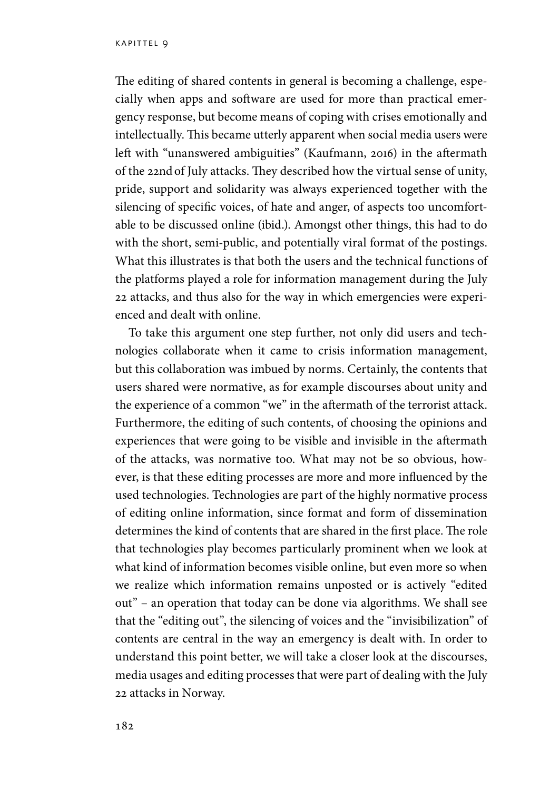The editing of shared contents in general is becoming a challenge, especially when apps and software are used for more than practical emergency response, but become means of coping with crises emotionally and intellectually. This became utterly apparent when social media users were left with "unanswered ambiguities" (Kaufmann, 2016) in the aftermath of the 22ndof July attacks. They described how the virtual sense of unity, pride, support and solidarity was always experienced together with the silencing of specific voices, of hate and anger, of aspects too uncomfortable to be discussed online (ibid.). Amongst other things, this had to do with the short, semi-public, and potentially viral format of the postings. What this illustrates is that both the users and the technical functions of the platforms played a role for information management during the July 22 attacks, and thus also for the way in which emergencies were experienced and dealt with online.

To take this argument one step further, not only did users and technologies collaborate when it came to crisis information management, but this collaboration was imbued by norms. Certainly, the contents that users shared were normative, as for example discourses about unity and the experience of a common "we" in the aftermath of the terrorist attack. Furthermore, the editing of such contents, of choosing the opinions and experiences that were going to be visible and invisible in the aftermath of the attacks, was normative too. What may not be so obvious, however, is that these editing processes are more and more influenced by the used technologies. Technologies are part of the highly normative process of editing online information, since format and form of dissemination determines the kind of contents that are shared in the first place. The role that technologies play becomes particularly prominent when we look at what kind of information becomes visible online, but even more so when we realize which information remains unposted or is actively "edited out" – an operation that today can be done via algorithms. We shall see that the "editing out", the silencing of voices and the "invisibilization" of contents are central in the way an emergency is dealt with. In order to understand this point better, we will take a closer look at the discourses, media usages and editing processes that were part of dealing with the July 22 attacks in Norway.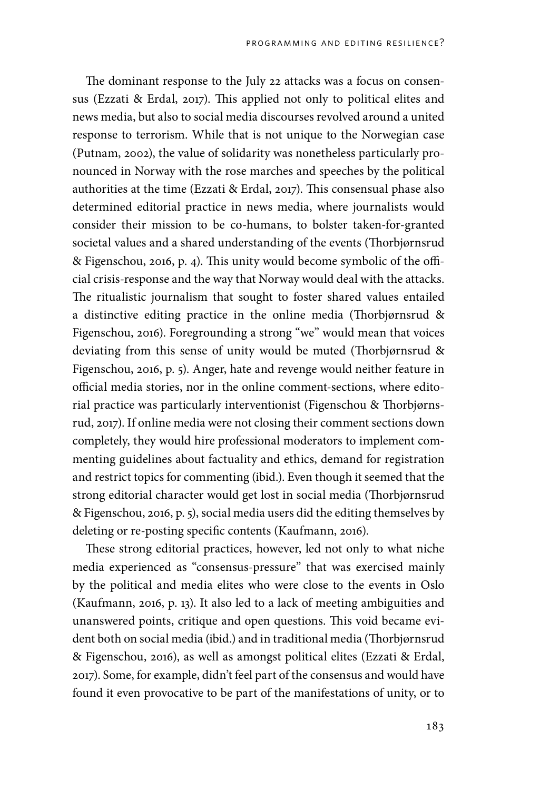The dominant response to the July 22 attacks was a focus on consensus (Ezzati & Erdal, 2017). This applied not only to political elites and news media, but also to social media discourses revolved around a united response to terrorism. While that is not unique to the Norwegian case (Putnam, 2002), the value of solidarity was nonetheless particularly pronounced in Norway with the rose marches and speeches by the political authorities at the time (Ezzati & Erdal, 2017). This consensual phase also determined editorial practice in news media, where journalists would consider their mission to be co-humans, to bolster taken-for-granted societal values and a shared understanding of the events (Thorbjørnsrud & Figenschou, 2016, p. 4). This unity would become symbolic of the official crisis-response and the way that Norway would deal with the attacks. The ritualistic journalism that sought to foster shared values entailed a distinctive editing practice in the online media (Thorbjørnsrud & Figenschou, 2016). Foregrounding a strong "we" would mean that voices deviating from this sense of unity would be muted (Thorbjørnsrud & Figenschou, 2016, p. 5). Anger, hate and revenge would neither feature in official media stories, nor in the online comment-sections, where editorial practice was particularly interventionist (Figenschou & Thorbjørnsrud, 2017). If online media were not closing their comment sections down completely, they would hire professional moderators to implement commenting guidelines about factuality and ethics, demand for registration and restrict topics for commenting (ibid.). Even though it seemed that the strong editorial character would get lost in social media (Thorbjørnsrud & Figenschou, 2016, p. 5), social media users did the editing themselves by deleting or re-posting specific contents (Kaufmann, 2016).

These strong editorial practices, however, led not only to what niche media experienced as "consensus-pressure" that was exercised mainly by the political and media elites who were close to the events in Oslo (Kaufmann, 2016, p. 13). It also led to a lack of meeting ambiguities and unanswered points, critique and open questions. This void became evident both on social media (ibid.) and in traditional media (Thorbjørnsrud & Figenschou, 2016), as well as amongst political elites (Ezzati & Erdal, 2017). Some, for example, didn't feel part of the consensus and would have found it even provocative to be part of the manifestations of unity, or to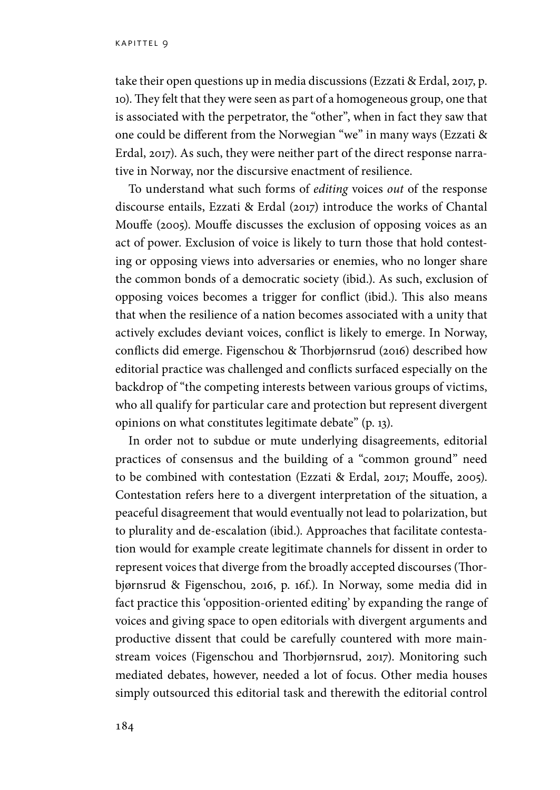take their open questions up in media discussions (Ezzati & Erdal, 2017, p. 10). They felt that they were seen as part of a homogeneous group, one that is associated with the perpetrator, the "other", when in fact they saw that one could be different from the Norwegian "we" in many ways (Ezzati & Erdal, 2017). As such, they were neither part of the direct response narrative in Norway, nor the discursive enactment of resilience.

To understand what such forms of *editing* voices *out* of the response discourse entails, Ezzati & Erdal (2017) introduce the works of Chantal Mouffe (2005). Mouffe discusses the exclusion of opposing voices as an act of power. Exclusion of voice is likely to turn those that hold contesting or opposing views into adversaries or enemies, who no longer share the common bonds of a democratic society (ibid.). As such, exclusion of opposing voices becomes a trigger for conflict (ibid.). This also means that when the resilience of a nation becomes associated with a unity that actively excludes deviant voices, conflict is likely to emerge. In Norway, conflicts did emerge. Figenschou & Thorbjørnsrud (2016) described how editorial practice was challenged and conflicts surfaced especially on the backdrop of "the competing interests between various groups of victims, who all qualify for particular care and protection but represent divergent opinions on what constitutes legitimate debate" (p. 13).

In order not to subdue or mute underlying disagreements, editorial practices of consensus and the building of a "common ground" need to be combined with contestation (Ezzati & Erdal, 2017; Mouffe, 2005). Contestation refers here to a divergent interpretation of the situation, a peaceful disagreement that would eventually not lead to polarization, but to plurality and de-escalation (ibid.). Approaches that facilitate contestation would for example create legitimate channels for dissent in order to represent voices that diverge from the broadly accepted discourses (Thorbjørnsrud & Figenschou, 2016, p. 16f.). In Norway, some media did in fact practice this 'opposition-oriented editing' by expanding the range of voices and giving space to open editorials with divergent arguments and productive dissent that could be carefully countered with more mainstream voices (Figenschou and Thorbjørnsrud, 2017). Monitoring such mediated debates, however, needed a lot of focus. Other media houses simply outsourced this editorial task and therewith the editorial control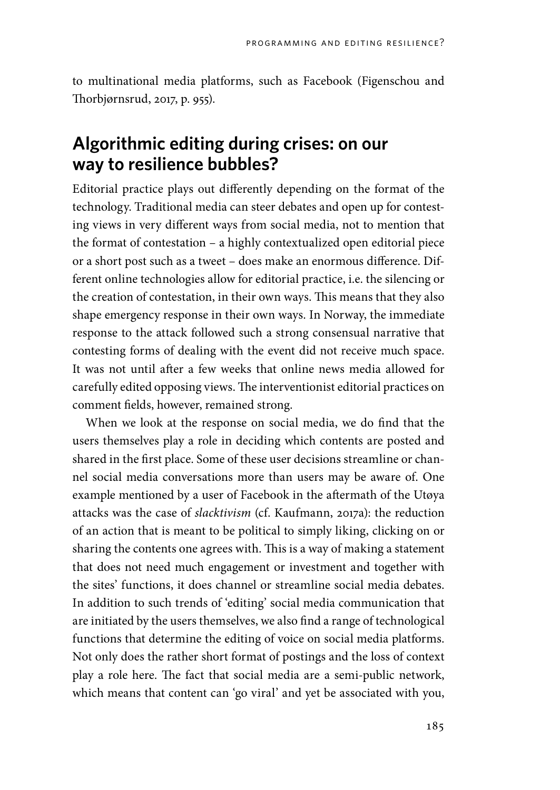to multinational media platforms, such as Facebook (Figenschou and Thorbjørnsrud, 2017, p. 955).

### **Algorithmic editing during crises: on our way to resilience bubbles?**

Editorial practice plays out differently depending on the format of the technology. Traditional media can steer debates and open up for contesting views in very different ways from social media, not to mention that the format of contestation – a highly contextualized open editorial piece or a short post such as a tweet – does make an enormous difference. Different online technologies allow for editorial practice, i.e. the silencing or the creation of contestation, in their own ways. This means that they also shape emergency response in their own ways. In Norway, the immediate response to the attack followed such a strong consensual narrative that contesting forms of dealing with the event did not receive much space. It was not until after a few weeks that online news media allowed for carefully edited opposing views. The interventionist editorial practices on comment fields, however, remained strong.

When we look at the response on social media, we do find that the users themselves play a role in deciding which contents are posted and shared in the first place. Some of these user decisions streamline or channel social media conversations more than users may be aware of. One example mentioned by a user of Facebook in the aftermath of the Utøya attacks was the case of *slacktivism* (cf. Kaufmann, 2017a): the reduction of an action that is meant to be political to simply liking, clicking on or sharing the contents one agrees with. This is a way of making a statement that does not need much engagement or investment and together with the sites' functions, it does channel or streamline social media debates. In addition to such trends of 'editing' social media communication that are initiated by the users themselves, we also find a range of technological functions that determine the editing of voice on social media platforms. Not only does the rather short format of postings and the loss of context play a role here. The fact that social media are a semi-public network, which means that content can 'go viral' and yet be associated with you,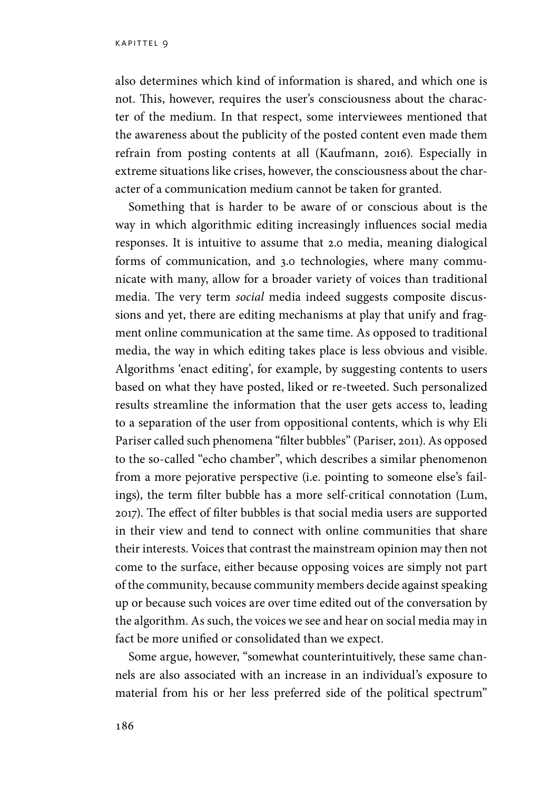also determines which kind of information is shared, and which one is not. This, however, requires the user's consciousness about the character of the medium. In that respect, some interviewees mentioned that the awareness about the publicity of the posted content even made them refrain from posting contents at all (Kaufmann, 2016). Especially in extreme situations like crises, however, the consciousness about the character of a communication medium cannot be taken for granted.

Something that is harder to be aware of or conscious about is the way in which algorithmic editing increasingly influences social media responses. It is intuitive to assume that 2.0 media, meaning dialogical forms of communication, and 3.0 technologies, where many communicate with many, allow for a broader variety of voices than traditional media. The very term *social* media indeed suggests composite discussions and yet, there are editing mechanisms at play that unify and fragment online communication at the same time. As opposed to traditional media, the way in which editing takes place is less obvious and visible. Algorithms 'enact editing', for example, by suggesting contents to users based on what they have posted, liked or re-tweeted. Such personalized results streamline the information that the user gets access to, leading to a separation of the user from oppositional contents, which is why Eli Pariser called such phenomena "filter bubbles" (Pariser, 2011). As opposed to the so-called "echo chamber", which describes a similar phenomenon from a more pejorative perspective (i.e. pointing to someone else's failings), the term filter bubble has a more self-critical connotation (Lum, 2017). The effect of filter bubbles is that social media users are supported in their view and tend to connect with online communities that share their interests. Voices that contrast the mainstream opinion may then not come to the surface, either because opposing voices are simply not part of the community, because community members decide against speaking up or because such voices are over time edited out of the conversation by the algorithm. As such, the voices we see and hear on social media may in fact be more unified or consolidated than we expect.

Some argue, however, "somewhat counterintuitively, these same channels are also associated with an increase in an individual's exposure to material from his or her less preferred side of the political spectrum"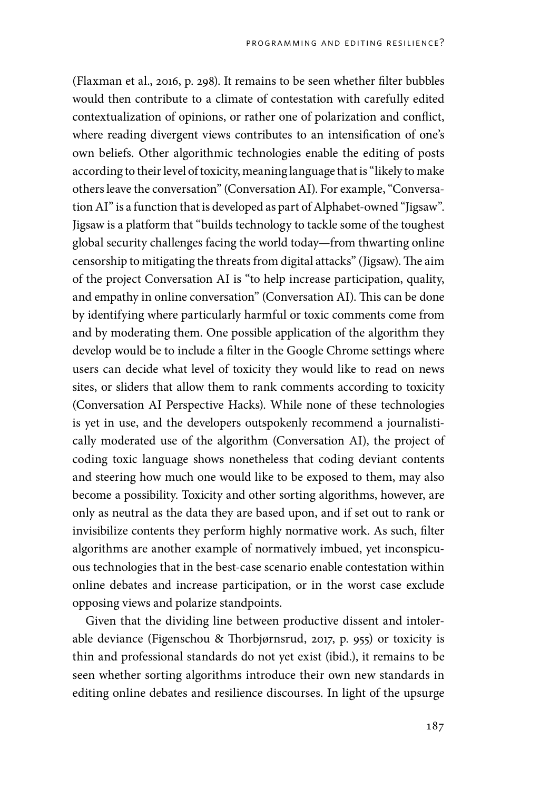(Flaxman et al., 2016, p. 298). It remains to be seen whether filter bubbles would then contribute to a climate of contestation with carefully edited contextualization of opinions, or rather one of polarization and conflict, where reading divergent views contributes to an intensification of one's own beliefs. Other algorithmic technologies enable the editing of posts according to their level of toxicity, meaning language that is "likely to make others leave the conversation" (Conversation AI). For example, "Conversation AI" is a function that is developed as part of Alphabet-owned "Jigsaw". Jigsaw is a platform that "builds technology to tackle some of the toughest global security challenges facing the world today—from thwarting online censorship to mitigating the threats from digital attacks" (Jigsaw). The aim of the project Conversation AI is "to help increase participation, quality, and empathy in online conversation" (Conversation AI). This can be done by identifying where particularly harmful or toxic comments come from and by moderating them. One possible application of the algorithm they develop would be to include a filter in the Google Chrome settings where users can decide what level of toxicity they would like to read on news sites, or sliders that allow them to rank comments according to toxicity (Conversation AI Perspective Hacks). While none of these technologies is yet in use, and the developers outspokenly recommend a journalistically moderated use of the algorithm (Conversation AI), the project of coding toxic language shows nonetheless that coding deviant contents and steering how much one would like to be exposed to them, may also become a possibility. Toxicity and other sorting algorithms, however, are only as neutral as the data they are based upon, and if set out to rank or invisibilize contents they perform highly normative work. As such, filter algorithms are another example of normatively imbued, yet inconspicuous technologies that in the best-case scenario enable contestation within online debates and increase participation, or in the worst case exclude opposing views and polarize standpoints.

Given that the dividing line between productive dissent and intolerable deviance (Figenschou & Thorbjørnsrud, 2017, p. 955) or toxicity is thin and professional standards do not yet exist (ibid.), it remains to be seen whether sorting algorithms introduce their own new standards in editing online debates and resilience discourses. In light of the upsurge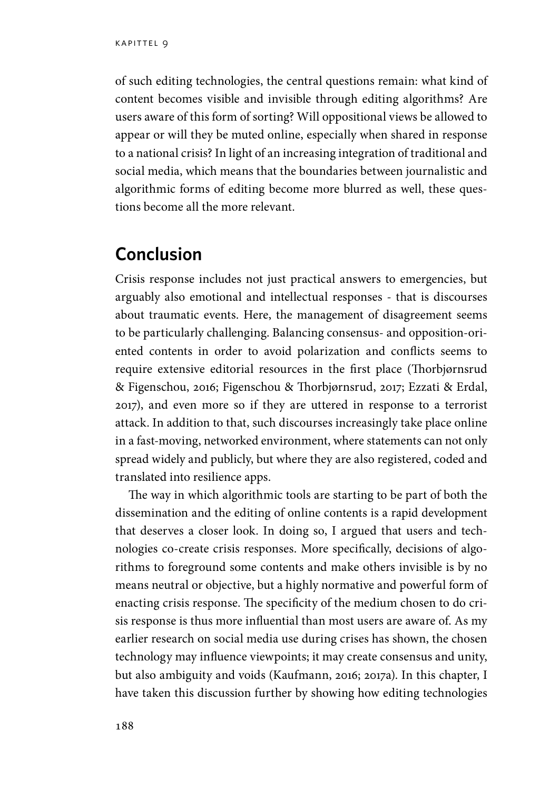of such editing technologies, the central questions remain: what kind of content becomes visible and invisible through editing algorithms? Are users aware of this form of sorting? Will oppositional views be allowed to appear or will they be muted online, especially when shared in response to a national crisis? In light of an increasing integration of traditional and social media, which means that the boundaries between journalistic and algorithmic forms of editing become more blurred as well, these questions become all the more relevant.

#### **Conclusion**

Crisis response includes not just practical answers to emergencies, but arguably also emotional and intellectual responses - that is discourses about traumatic events. Here, the management of disagreement seems to be particularly challenging. Balancing consensus- and opposition-oriented contents in order to avoid polarization and conflicts seems to require extensive editorial resources in the first place (Thorbjørnsrud & Figenschou, 2016; Figenschou & Thorbjørnsrud, 2017; Ezzati & Erdal, 2017), and even more so if they are uttered in response to a terrorist attack. In addition to that, such discourses increasingly take place online in a fast-moving, networked environment, where statements can not only spread widely and publicly, but where they are also registered, coded and translated into resilience apps.

The way in which algorithmic tools are starting to be part of both the dissemination and the editing of online contents is a rapid development that deserves a closer look. In doing so, I argued that users and technologies co-create crisis responses. More specifically, decisions of algorithms to foreground some contents and make others invisible is by no means neutral or objective, but a highly normative and powerful form of enacting crisis response. The specificity of the medium chosen to do crisis response is thus more influential than most users are aware of. As my earlier research on social media use during crises has shown, the chosen technology may influence viewpoints; it may create consensus and unity, but also ambiguity and voids (Kaufmann, 2016; 2017a). In this chapter, I have taken this discussion further by showing how editing technologies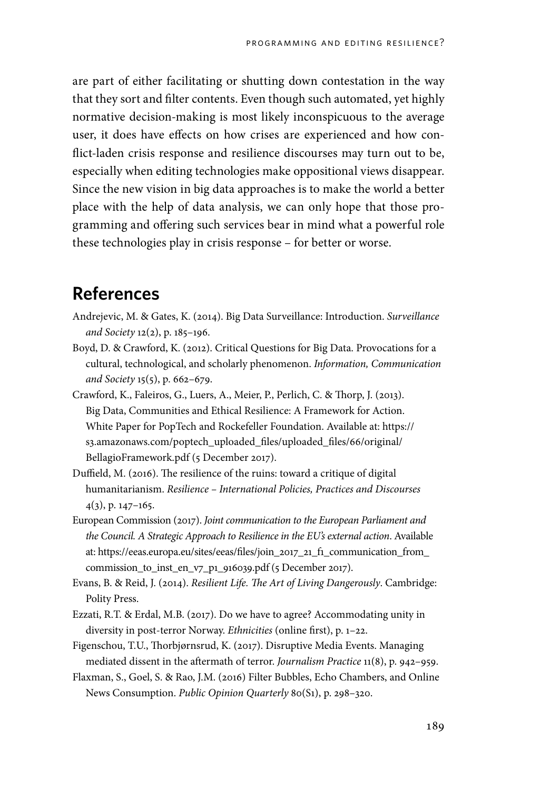are part of either facilitating or shutting down contestation in the way that they sort and filter contents. Even though such automated, yet highly normative decision-making is most likely inconspicuous to the average user, it does have effects on how crises are experienced and how conflict-laden crisis response and resilience discourses may turn out to be, especially when editing technologies make oppositional views disappear. Since the new vision in big data approaches is to make the world a better place with the help of data analysis, we can only hope that those programming and offering such services bear in mind what a powerful role these technologies play in crisis response – for better or worse.

#### **References**

- Andrejevic, M. & Gates, K. (2014). Big Data Surveillance: Introduction. *Surveillance and Society* 12(2), p. 185–196.
- Boyd, D. & Crawford, K. (2012). Critical Questions for Big Data. Provocations for a cultural, technological, and scholarly phenomenon. *Information, Communication and Society* 15(5), p. 662–679.
- Crawford, K., Faleiros, G., Luers, A., Meier, P., Perlich, C. & Thorp, J. (2013). Big Data, Communities and Ethical Resilience: A Framework for Action. White Paper for PopTech and Rockefeller Foundation. Available at: https:// s3.amazonaws.com/poptech\_uploaded\_files/uploaded\_files/66/original/ BellagioFramework.pdf (5 December 2017).
- Duffield, M. (2016). The resilience of the ruins: toward a critique of digital humanitarianism. *Resilience – International Policies, Practices and Discourses* 4(3), p. 147–165.
- European Commission (2017). *Joint communication to the European Parliament and the Council. A Strategic Approach to Resilience in the EU's external action*. Available at: https://eeas.europa.eu/sites/eeas/files/join\_2017\_21\_f1\_communication\_from\_ commission\_to\_inst\_en\_v7\_p1\_916039.pdf (5 December 2017).
- Evans, B. & Reid, J. (2014). *Resilient Life. The Art of Living Dangerously*. Cambridge: Polity Press.
- Ezzati, R.T. & Erdal, M.B. (2017). Do we have to agree? Accommodating unity in diversity in post-terror Norway. *Ethnicities* (online first), p. 1–22.
- Figenschou, T.U., Thorbjørnsrud, K. (2017). Disruptive Media Events. Managing mediated dissent in the aftermath of terror. *Journalism Practice* 11(8), p. 942–959.
- Flaxman, S., Goel, S. & Rao, J.M. (2016) Filter Bubbles, Echo Chambers, and Online News Consumption. *Public Opinion Quarterly* 80(S1), p. 298–320.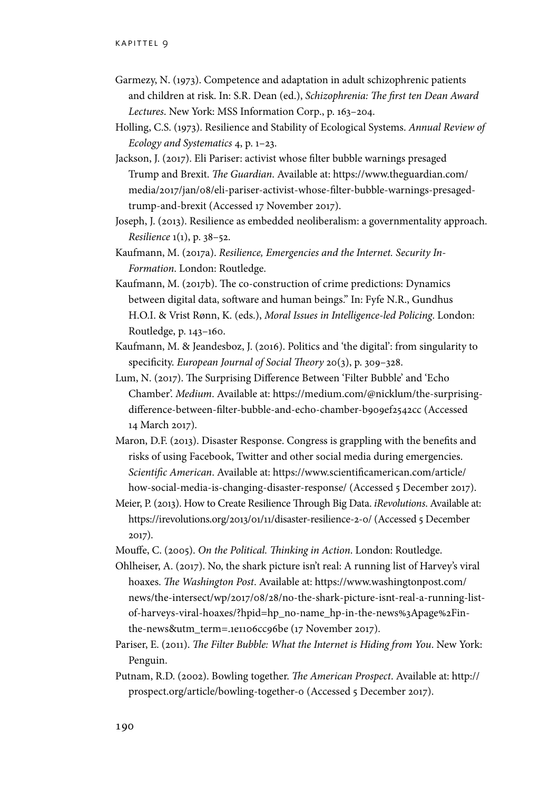- Garmezy, N. (1973). Competence and adaptation in adult schizophrenic patients and children at risk. In: S.R. Dean (ed.), *Schizophrenia: The first ten Dean Award Lectures*. New York: MSS Information Corp., p. 163–204.
- Holling, C.S. (1973). Resilience and Stability of Ecological Systems. *Annual Review of Ecology and Systematics* 4, p. 1–23.
- Jackson, J. (2017). Eli Pariser: activist whose filter bubble warnings presaged Trump and Brexit. *The Guardian*. Available at: https://www.theguardian.com/ media/2017/jan/08/eli-pariser-activist-whose-filter-bubble-warnings-presagedtrump-and-brexit (Accessed 17 November 2017).
- Joseph, J. (2013). Resilience as embedded neoliberalism: a governmentality approach. *Resilience* 1(1), p. 38–52.
- Kaufmann, M. (2017a). *Resilience, Emergencies and the Internet. Security In-Formation*. London: Routledge.
- Kaufmann, M. (2017b). The co-construction of crime predictions: Dynamics between digital data, software and human beings." In: Fyfe N.R., Gundhus H.O.I. & Vrist Rønn, K. (eds.), *Moral Issues in Intelligence-led Policing*. London: Routledge, p. 143–160.
- Kaufmann, M. & Jeandesboz, J. (2016). Politics and 'the digital': from singularity to specificity. *European Journal of Social Theory* 20(3), p. 309–328.
- Lum, N. (2017). The Surprising Difference Between 'Filter Bubble' and 'Echo Chamber'. *Medium*. Available at: https://medium.com/@nicklum/the-surprisingdifference-between-filter-bubble-and-echo-chamber-b909ef2542cc (Accessed 14 March 2017).
- Maron, D.F. (2013). Disaster Response. Congress is grappling with the benefits and risks of using Facebook, Twitter and other social media during emergencies. *Scientific American*. Available at: https://www.scientificamerican.com/article/ how-social-media-is-changing-disaster-response/ (Accessed 5 December 2017).
- Meier, P. (2013). How to Create Resilience Through Big Data. *iRevolutions*. Available at: https://irevolutions.org/2013/01/11/disaster-resilience-2-0/ (Accessed 5 December 2017).
- Mouffe, C. (2005). *On the Political. Thinking in Action*. London: Routledge.
- Ohlheiser, A. (2017). No, the shark picture isn't real: A running list of Harvey's viral hoaxes. *The Washington Post*. Available at: https://www.washingtonpost.com/ news/the-intersect/wp/2017/08/28/no-the-shark-picture-isnt-real-a-running-listof-harveys-viral-hoaxes/?hpid=hp\_no-name\_hp-in-the-news%3Apage%2Finthe-news&utm\_term=.1e1106cc96be (17 November 2017).
- Pariser, E. (2011). *The Filter Bubble: What the Internet is Hiding from You*. New York: Penguin.
- Putnam, R.D. (2002). Bowling together. *The American Prospect*. Available at: http:// prospect.org/article/bowling-together-0 (Accessed 5 December 2017).